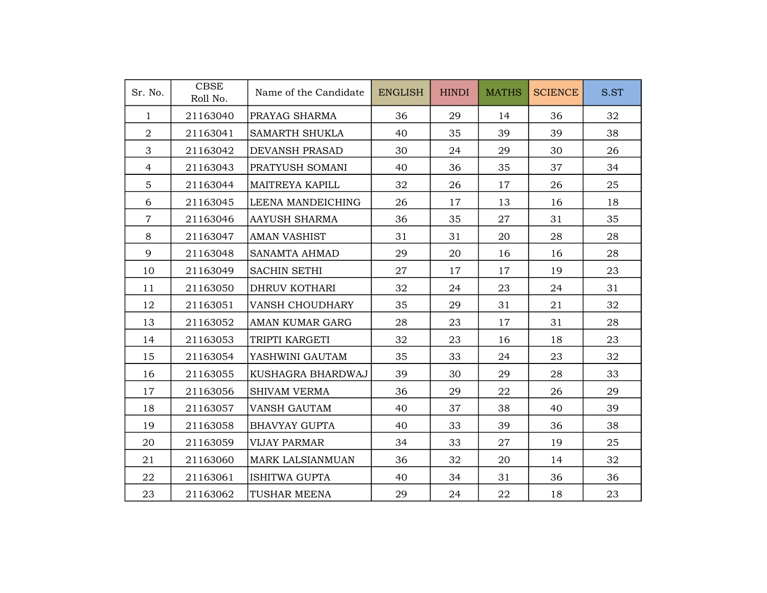| Sr. No.        | <b>CBSE</b><br>Roll No. | Name of the Candidate  | <b>ENGLISH</b> | <b>HINDI</b> | <b>MATHS</b> | <b>SCIENCE</b> | S.ST |
|----------------|-------------------------|------------------------|----------------|--------------|--------------|----------------|------|
| $\mathbf{1}$   | 21163040                | PRAYAG SHARMA          | 36             | 29           | 14           | 36             | 32   |
| $\overline{a}$ | 21163041                | <b>SAMARTH SHUKLA</b>  | 40             | 35           | 39           | 39             | 38   |
| 3              | 21163042                | <b>DEVANSH PRASAD</b>  | 30             | 24           | 29           | 30             | 26   |
| $\overline{4}$ | 21163043                | PRATYUSH SOMANI        | 40             | 36           | 35           | 37             | 34   |
| $\overline{5}$ | 21163044                | <b>MAITREYA KAPILL</b> | 32             | 26           | 17           | 26             | 25   |
| 6              | 21163045                | LEENA MANDEICHING      | 26             | 17           | 13           | 16             | 18   |
| $\overline{7}$ | 21163046                | AAYUSH SHARMA          | 36             | 35           | 27           | 31             | 35   |
| 8              | 21163047                | <b>AMAN VASHIST</b>    | 31             | 31           | 20           | 28             | 28   |
| 9              | 21163048                | <b>SANAMTA AHMAD</b>   | 29             | 20           | 16           | 16             | 28   |
| 10             | 21163049                | <b>SACHIN SETHI</b>    | 27             | 17           | 17           | 19             | 23   |
| 11             | 21163050                | DHRUV KOTHARI          | 32             | 24           | 23           | 24             | 31   |
| 12             | 21163051                | <b>VANSH CHOUDHARY</b> | 35             | 29           | 31           | 21             | 32   |
| 13             | 21163052                | AMAN KUMAR GARG        | 28             | 23           | 17           | 31             | 28   |
| 14             | 21163053                | TRIPTI KARGETI         | 32             | 23           | 16           | 18             | 23   |
| 15             | 21163054                | YASHWINI GAUTAM        | 35             | 33           | 24           | 23             | 32   |
| 16             | 21163055                | KUSHAGRA BHARDWAJ      | 39             | 30           | 29           | 28             | 33   |
| 17             | 21163056                | <b>SHIVAM VERMA</b>    | 36             | 29           | 22           | 26             | 29   |
| 18             | 21163057                | <b>VANSH GAUTAM</b>    | 40             | 37           | 38           | 40             | 39   |
| 19             | 21163058                | <b>BHAVYAY GUPTA</b>   | 40             | 33           | 39           | 36             | 38   |
| 20             | 21163059                | <b>VIJAY PARMAR</b>    | 34             | 33           | 27           | 19             | 25   |
| 21             | 21163060                | MARK LALSIANMUAN       | 36             | 32           | 20           | 14             | 32   |
| 22             | 21163061                | ISHITWA GUPTA          | 40             | 34           | 31           | 36             | 36   |
| 23             | 21163062                | TUSHAR MEENA           | 29             | 24           | 22           | 18             | 23   |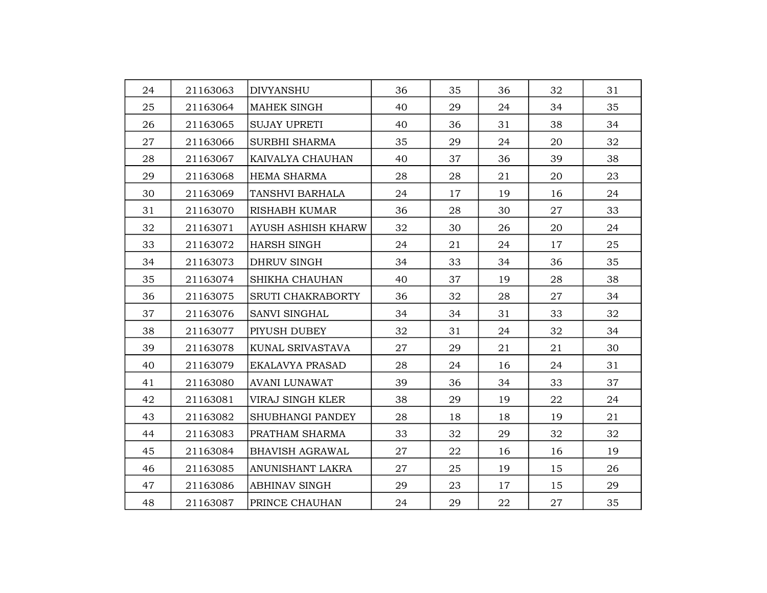| 24 | 21163063 | <b>DIVYANSHU</b>          | 36 | 35 | 36 | 32 | 31 |
|----|----------|---------------------------|----|----|----|----|----|
| 25 | 21163064 | <b>MAHEK SINGH</b>        | 40 | 29 | 24 | 34 | 35 |
| 26 | 21163065 | <b>SUJAY UPRETI</b>       | 40 | 36 | 31 | 38 | 34 |
| 27 | 21163066 | <b>SURBHI SHARMA</b>      | 35 | 29 | 24 | 20 | 32 |
| 28 | 21163067 | KAIVALYA CHAUHAN          | 40 | 37 | 36 | 39 | 38 |
| 29 | 21163068 | <b>HEMA SHARMA</b>        | 28 | 28 | 21 | 20 | 23 |
| 30 | 21163069 | TANSHVI BARHALA           | 24 | 17 | 19 | 16 | 24 |
| 31 | 21163070 | RISHABH KUMAR             | 36 | 28 | 30 | 27 | 33 |
| 32 | 21163071 | <b>AYUSH ASHISH KHARW</b> | 32 | 30 | 26 | 20 | 24 |
| 33 | 21163072 | <b>HARSH SINGH</b>        | 24 | 21 | 24 | 17 | 25 |
| 34 | 21163073 | <b>DHRUV SINGH</b>        | 34 | 33 | 34 | 36 | 35 |
| 35 | 21163074 | SHIKHA CHAUHAN            | 40 | 37 | 19 | 28 | 38 |
| 36 | 21163075 | <b>SRUTI CHAKRABORTY</b>  | 36 | 32 | 28 | 27 | 34 |
| 37 | 21163076 | <b>SANVI SINGHAL</b>      | 34 | 34 | 31 | 33 | 32 |
| 38 | 21163077 | PIYUSH DUBEY              | 32 | 31 | 24 | 32 | 34 |
| 39 | 21163078 | KUNAL SRIVASTAVA          | 27 | 29 | 21 | 21 | 30 |
| 40 | 21163079 | <b>EKALAVYA PRASAD</b>    | 28 | 24 | 16 | 24 | 31 |
| 41 | 21163080 | <b>AVANI LUNAWAT</b>      | 39 | 36 | 34 | 33 | 37 |
| 42 | 21163081 | VIRAJ SINGH KLER          | 38 | 29 | 19 | 22 | 24 |
| 43 | 21163082 | SHUBHANGI PANDEY          | 28 | 18 | 18 | 19 | 21 |
| 44 | 21163083 | PRATHAM SHARMA            | 33 | 32 | 29 | 32 | 32 |
| 45 | 21163084 | <b>BHAVISH AGRAWAL</b>    | 27 | 22 | 16 | 16 | 19 |
| 46 | 21163085 | <b>ANUNISHANT LAKRA</b>   | 27 | 25 | 19 | 15 | 26 |
| 47 | 21163086 | ABHINAV SINGH             | 29 | 23 | 17 | 15 | 29 |
| 48 | 21163087 | PRINCE CHAUHAN            | 24 | 29 | 22 | 27 | 35 |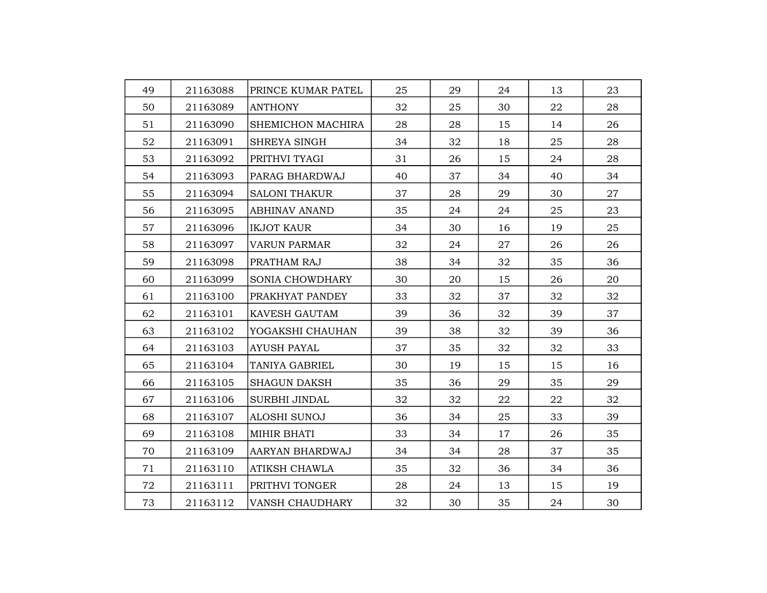| 49 | 21163088 | PRINCE KUMAR PATEL     | 25 | 29 | 24 | 13 | 23 |
|----|----------|------------------------|----|----|----|----|----|
| 50 | 21163089 | <b>ANTHONY</b>         | 32 | 25 | 30 | 22 | 28 |
| 51 | 21163090 | SHEMICHON MACHIRA      | 28 | 28 | 15 | 14 | 26 |
| 52 | 21163091 | <b>SHREYA SINGH</b>    | 34 | 32 | 18 | 25 | 28 |
| 53 | 21163092 | PRITHVI TYAGI          | 31 | 26 | 15 | 24 | 28 |
| 54 | 21163093 | PARAG BHARDWAJ         | 40 | 37 | 34 | 40 | 34 |
| 55 | 21163094 | <b>SALONI THAKUR</b>   | 37 | 28 | 29 | 30 | 27 |
| 56 | 21163095 | <b>ABHINAV ANAND</b>   | 35 | 24 | 24 | 25 | 23 |
| 57 | 21163096 | <b>IKJOT KAUR</b>      | 34 | 30 | 16 | 19 | 25 |
| 58 | 21163097 | <b>VARUN PARMAR</b>    | 32 | 24 | 27 | 26 | 26 |
| 59 | 21163098 | PRATHAM RAJ            | 38 | 34 | 32 | 35 | 36 |
| 60 | 21163099 | <b>SONIA CHOWDHARY</b> | 30 | 20 | 15 | 26 | 20 |
| 61 | 21163100 | PRAKHYAT PANDEY        | 33 | 32 | 37 | 32 | 32 |
| 62 | 21163101 | <b>KAVESH GAUTAM</b>   | 39 | 36 | 32 | 39 | 37 |
| 63 | 21163102 | YOGAKSHI CHAUHAN       | 39 | 38 | 32 | 39 | 36 |
| 64 | 21163103 | <b>AYUSH PAYAL</b>     | 37 | 35 | 32 | 32 | 33 |
| 65 | 21163104 | TANIYA GABRIEL         | 30 | 19 | 15 | 15 | 16 |
| 66 | 21163105 | <b>SHAGUN DAKSH</b>    | 35 | 36 | 29 | 35 | 29 |
| 67 | 21163106 | SURBHI JINDAL          | 32 | 32 | 22 | 22 | 32 |
| 68 | 21163107 | <b>ALOSHI SUNOJ</b>    | 36 | 34 | 25 | 33 | 39 |
| 69 | 21163108 | <b>MIHIR BHATI</b>     | 33 | 34 | 17 | 26 | 35 |
| 70 | 21163109 | AARYAN BHARDWAJ        | 34 | 34 | 28 | 37 | 35 |
| 71 | 21163110 | <b>ATIKSH CHAWLA</b>   | 35 | 32 | 36 | 34 | 36 |
| 72 | 21163111 | PRITHVI TONGER         | 28 | 24 | 13 | 15 | 19 |
| 73 | 21163112 | VANSH CHAUDHARY        | 32 | 30 | 35 | 24 | 30 |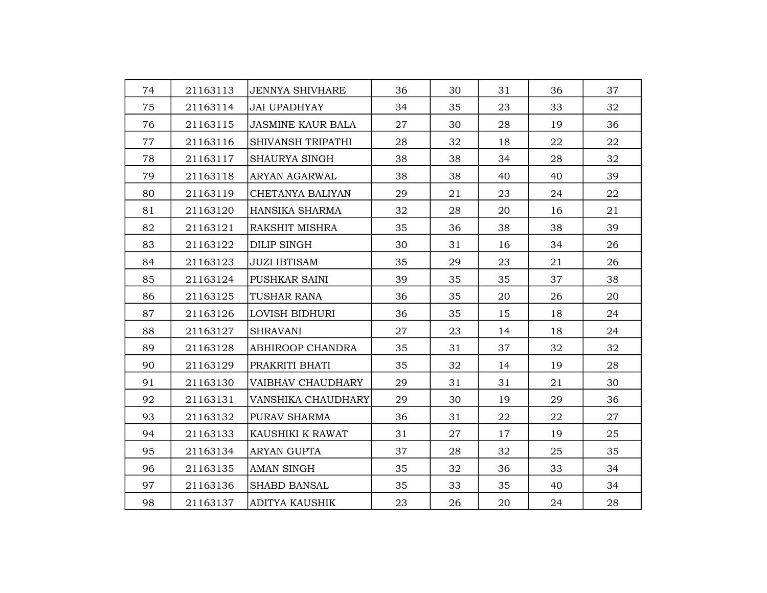| 74 | 21163113 | <b>JENNYA SHIVHARE</b>    | 36 | 30 | 31 | 36 | 37 |
|----|----------|---------------------------|----|----|----|----|----|
| 75 | 21163114 | JAI UPADHYAY              | 34 | 35 | 23 | 33 | 32 |
| 76 | 21163115 | <b>JASMINE KAUR BALA</b>  | 27 | 30 | 28 | 19 | 36 |
| 77 | 21163116 | SHIVANSH TRIPATHI         | 28 | 32 | 18 | 22 | 22 |
| 78 | 21163117 | <b>SHAURYA SINGH</b>      | 38 | 38 | 34 | 28 | 32 |
| 79 | 21163118 | ARYAN AGARWAL             | 38 | 38 | 40 | 40 | 39 |
| 80 | 21163119 | CHETANYA BALIYAN          | 29 | 21 | 23 | 24 | 22 |
| 81 | 21163120 | HANSIKA SHARMA            | 32 | 28 | 20 | 16 | 21 |
| 82 | 21163121 | <b>RAKSHIT MISHRA</b>     | 35 | 36 | 38 | 38 | 39 |
| 83 | 21163122 | <b>DILIP SINGH</b>        | 30 | 31 | 16 | 34 | 26 |
| 84 | 21163123 | <b>JUZI IBTISAM</b>       | 35 | 29 | 23 | 21 | 26 |
| 85 | 21163124 | PUSHKAR SAINI             | 39 | 35 | 35 | 37 | 38 |
| 86 | 21163125 | TUSHAR RANA               | 36 | 35 | 20 | 26 | 20 |
| 87 | 21163126 | LOVISH BIDHURI            | 36 | 35 | 15 | 18 | 24 |
| 88 | 21163127 | <b>SHRAVANI</b>           | 27 | 23 | 14 | 18 | 24 |
| 89 | 21163128 | <b>ABHIROOP CHANDRA</b>   | 35 | 31 | 37 | 32 | 32 |
| 90 | 21163129 | PRAKRITI BHATI            | 35 | 32 | 14 | 19 | 28 |
| 91 | 21163130 | <b>VAIBHAV CHAUDHARY</b>  | 29 | 31 | 31 | 21 | 30 |
| 92 | 21163131 | <b>VANSHIKA CHAUDHARY</b> | 29 | 30 | 19 | 29 | 36 |
| 93 | 21163132 | PURAV SHARMA              | 36 | 31 | 22 | 22 | 27 |
| 94 | 21163133 | <b>KAUSHIKI K RAWAT</b>   | 31 | 27 | 17 | 19 | 25 |
| 95 | 21163134 | <b>ARYAN GUPTA</b>        | 37 | 28 | 32 | 25 | 35 |
| 96 | 21163135 | <b>AMAN SINGH</b>         | 35 | 32 | 36 | 33 | 34 |
| 97 | 21163136 | <b>SHABD BANSAL</b>       | 35 | 33 | 35 | 40 | 34 |
| 98 | 21163137 | <b>ADITYA KAUSHIK</b>     | 23 | 26 | 20 | 24 | 28 |